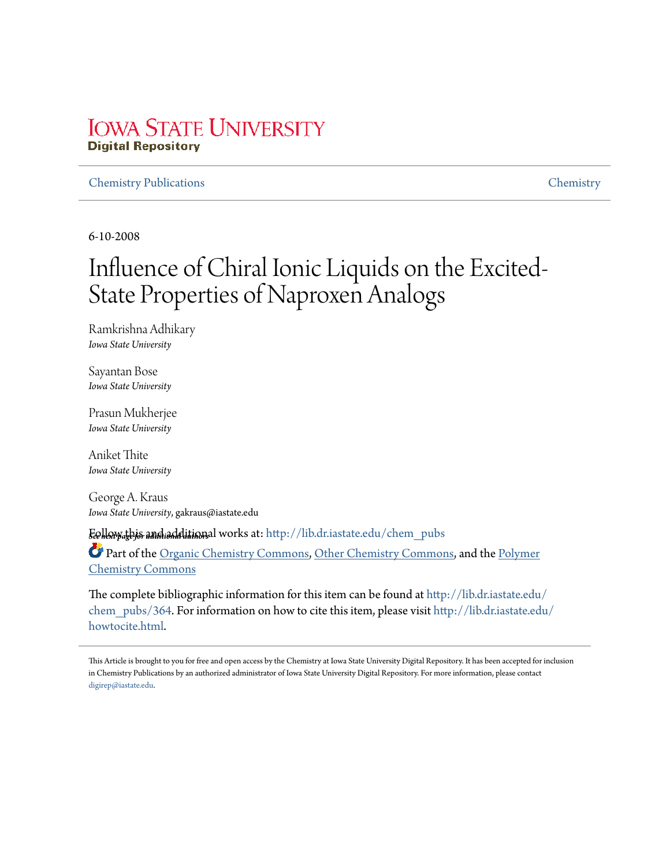## **IOWA STATE UNIVERSITY Digital Repository**

## Chemistry Publications Chemistry

6-10-2008

# Influence of Chiral Ionic Liquids on the Excited-State Properties of Naproxen Analogs

Ramkrishna Adhikary *Iowa State University*

Sayantan Bose *Iowa State University*

Prasun Mukherjee *Iowa State University*

Aniket Thite *Iowa State University*

George A. Kraus *Iowa State University*, gakraus@iastate.edu

*See next page for additional authors* Follow this and additional works at: http://lib.dr.iastate.edu/chem\_pubs

Part of the Organic Chemistry Commons, Other Chemistry Commons, and the Polymer Chemistry Commons

The complete bibliographic information for this item can be found at http://lib.dr.iastate.edu/ chem\_pubs/364. For information on how to cite this item, please visit http://lib.dr.iastate.edu/ howtocite.html.

This Article is brought to you for free and open access by the Chemistry at Iowa State University Digital Repository. It has been accepted for inclusion in Chemistry Publications by an authorized administrator of Iowa State University Digital Repository. For more information, please contact digirep@iastate.edu.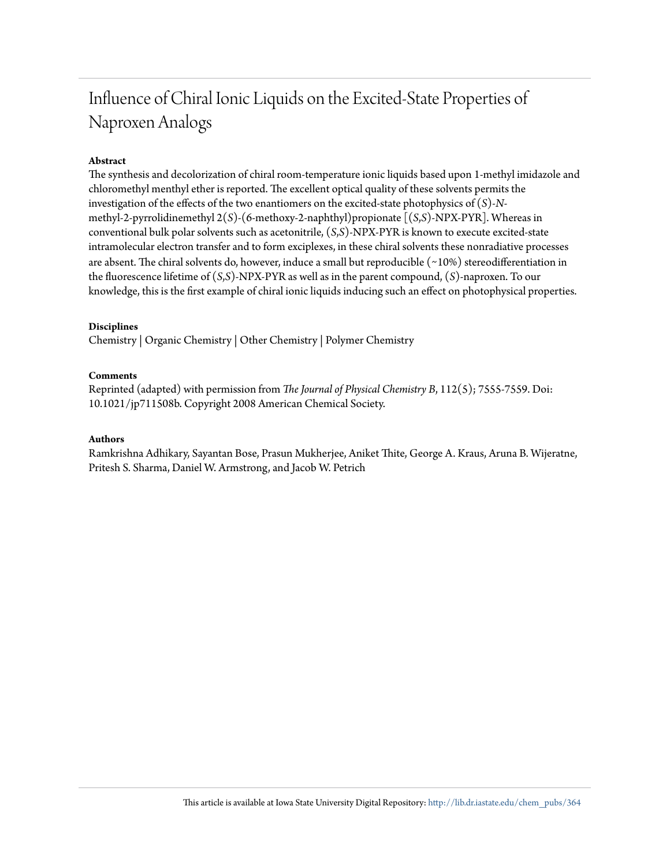## Influence of Chiral Ionic Liquids on the Excited-State Properties of Naproxen Analogs

## **Abstract**

The synthesis and decolorization of chiral room-temperature ionic liquids based upon 1-methyl imidazole and chloromethyl menthyl ether is reported. The excellent optical quality of these solvents permits the investigation of the effects of the two enantiomers on the excited-state photophysics of (*S*)-*N*methyl-2-pyrrolidinemethyl 2(*S*)-(6-methoxy-2-naphthyl)propionate [(*S*,*S*)-NPX-PYR]. Whereas in conventional bulk polar solvents such as acetonitrile, (*S*,*S*)-NPX-PYR is known to execute excited-state intramolecular electron transfer and to form exciplexes, in these chiral solvents these nonradiative processes are absent. The chiral solvents do, however, induce a small but reproducible (∼10%) stereodifferentiation in the fluorescence lifetime of (*S*,*S*)-NPX-PYR as well as in the parent compound, (*S*)-naproxen. To our knowledge, this is the first example of chiral ionic liquids inducing such an effect on photophysical properties.

## **Disciplines**

Chemistry | Organic Chemistry | Other Chemistry | Polymer Chemistry

## **Comments**

Reprinted (adapted) with permission from *The Journal of Physical Chemistry B*, 112(5); 7555-7559. Doi: 10.1021/jp711508b. Copyright 2008 American Chemical Society.

### **Authors**

Ramkrishna Adhikary, Sayantan Bose, Prasun Mukherjee, Aniket Thite, George A. Kraus, Aruna B. Wijeratne, Pritesh S. Sharma, Daniel W. Armstrong, and Jacob W. Petrich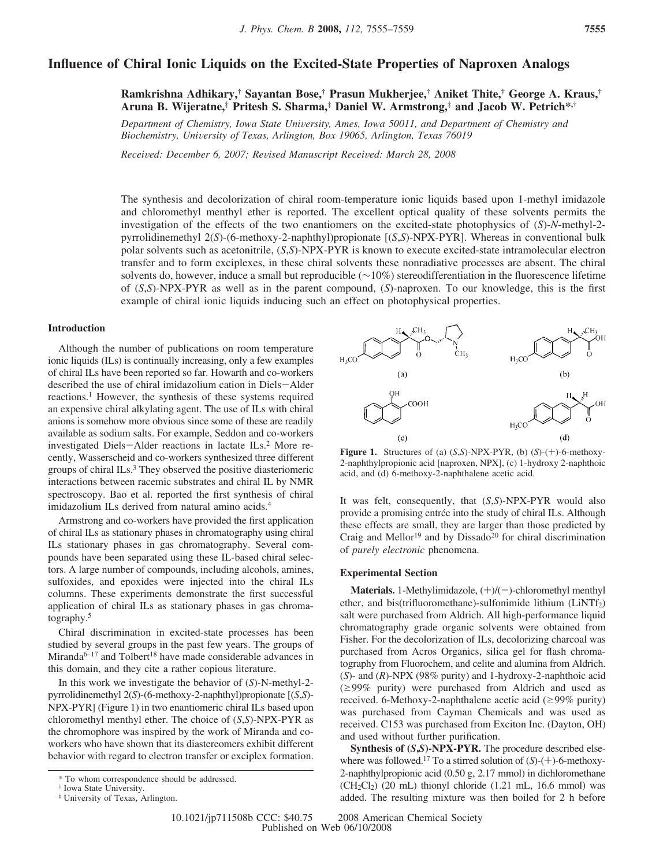## **Influence of Chiral Ionic Liquids on the Excited-State Properties of Naproxen Analogs**

**Ramkrishna Adhikary,† Sayantan Bose,† Prasun Mukherjee,† Aniket Thite,† George A. Kraus,† Aruna B. Wijeratne,‡ Pritesh S. Sharma,‡ Daniel W. Armstrong,‡ and Jacob W. Petrich\*,†**

*Department of Chemistry, Iowa State Uni*V*ersity, Ames, Iowa 50011, and Department of Chemistry and Biochemistry, Uni*V*ersity of Texas, Arlington, Box 19065, Arlington, Texas 76019*

*Recei*V*ed: December 6, 2007; Re*V*ised Manuscript Recei*V*ed: March 28, 2008*

The synthesis and decolorization of chiral room-temperature ionic liquids based upon 1-methyl imidazole and chloromethyl menthyl ether is reported. The excellent optical quality of these solvents permits the investigation of the effects of the two enantiomers on the excited-state photophysics of (*S*)-*N*-methyl-2 pyrrolidinemethyl 2(*S*)-(6-methoxy-2-naphthyl)propionate [(*S*,*S*)-NPX-PYR]. Whereas in conventional bulk polar solvents such as acetonitrile, (*S*,*S*)-NPX-PYR is known to execute excited-state intramolecular electron transfer and to form exciplexes, in these chiral solvents these nonradiative processes are absent. The chiral solvents do, however, induce a small but reproducible (∼10%) stereodifferentiation in the fluorescence lifetime of (*S*,*S*)-NPX-PYR as well as in the parent compound, (*S*)-naproxen. To our knowledge, this is the first example of chiral ionic liquids inducing such an effect on photophysical properties.

#### **Introduction**

Although the number of publications on room temperature ionic liquids (ILs) is continually increasing, only a few examples of chiral ILs have been reported so far. Howarth and co-workers described the use of chiral imidazolium cation in Diels-Alder reactions.<sup>1</sup> However, the synthesis of these systems required an expensive chiral alkylating agent. The use of ILs with chiral anions is somehow more obvious since some of these are readily available as sodium salts. For example, Seddon and co-workers investigated Diels-Alder reactions in lactate ILs.<sup>2</sup> More recently, Wasserscheid and co-workers synthesized three different groups of chiral ILs.<sup>3</sup> They observed the positive diasteriomeric interactions between racemic substrates and chiral IL by NMR spectroscopy. Bao et al. reported the first synthesis of chiral imidazolium ILs derived from natural amino acids.<sup>4</sup>

Armstrong and co-workers have provided the first application of chiral ILs as stationary phases in chromatography using chiral ILs stationary phases in gas chromatography. Several compounds have been separated using these IL-based chiral selectors. A large number of compounds, including alcohols, amines, sulfoxides, and epoxides were injected into the chiral ILs columns. These experiments demonstrate the first successful application of chiral ILs as stationary phases in gas chromatography.<sup>5</sup>

Chiral discrimination in excited-state processes has been studied by several groups in the past few years. The groups of Miranda $6-17$  and Tolbert<sup>18</sup> have made considerable advances in this domain, and they cite a rather copious literature.

In this work we investigate the behavior of (*S*)-N-methyl-2 pyrrolidinemethyl 2(*S*)-(6-methoxy-2-naphthyl)propionate [(*S*,*S*)- NPX-PYR] (Figure 1) in two enantiomeric chiral ILs based upon chloromethyl menthyl ether. The choice of (*S*,*S*)-NPX-PYR as the chromophore was inspired by the work of Miranda and coworkers who have shown that its diastereomers exhibit different behavior with regard to electron transfer or exciplex formation.



**Figure 1.** Structures of (a) (*S*,*S*)-NPX-PYR, (b) (*S*)-(+)-6-methoxy-2-naphthylpropionic acid [naproxen, NPX], (c) 1-hydroxy 2-naphthoic acid, and (d) 6-methoxy-2-naphthalene acetic acid.

It was felt, consequently, that (*S*,*S*)-NPX-PYR would also provide a promising entrée into the study of chiral ILs. Although these effects are small, they are larger than those predicted by Craig and Mellor<sup>19</sup> and by Dissado<sup>20</sup> for chiral discrimination of *purely electronic* phenomena.

#### **Experimental Section**

**Materials.** 1-Methylimidazole,  $(+)/(-)$ -chloromethyl menthyl ether, and bis(trifluoromethane)-sulfonimide lithium  $(LINTf<sub>2</sub>)$ salt were purchased from Aldrich. All high-performance liquid chromatography grade organic solvents were obtained from Fisher. For the decolorization of ILs, decolorizing charcoal was purchased from Acros Organics, silica gel for flash chromatography from Fluorochem, and celite and alumina from Aldrich. (*S*)- and (*R*)-NPX (98% purity) and 1-hydroxy-2-naphthoic acid  $(\geq 99\%$  purity) were purchased from Aldrich and used as received. 6-Methoxy-2-naphthalene acetic acid ( $\geq$ 99% purity) was purchased from Cayman Chemicals and was used as received. C153 was purchased from Exciton Inc. (Dayton, OH) and used without further purification.

**Synthesis of (***S***,***S***)-NPX-PYR.** The procedure described elsewhere was followed.<sup>17</sup> To a stirred solution of (*S*)-(+)-6-methoxy-2-naphthylpropionic acid (0.50 g, 2.17 mmol) in dichloromethane  $(CH_2Cl_2)$  (20 mL) thionyl chloride (1.21 mL, 16.6 mmol) was added. The resulting mixture was then boiled for 2 h before

<sup>\*</sup> To whom correspondence should be addressed.

<sup>†</sup> Iowa State University.

<sup>‡</sup> University of Texas, Arlington.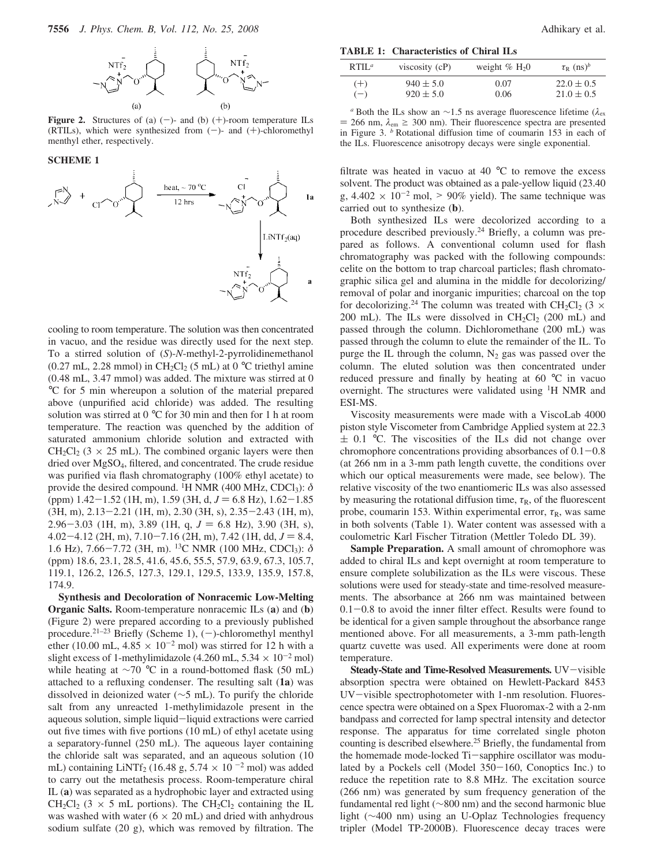

**Figure 2.** Structures of (a)  $(-)$ - and (b)  $(+)$ -room temperature ILs (RTILs), which were synthesized from  $(-)$ - and  $(+)$ -chloromethyl menthyl ether, respectively.

#### **SCHEME 1**



cooling to room temperature. The solution was then concentrated in vacuo, and the residue was directly used for the next step. To a stirred solution of (*S*)-*N*-methyl-2-pyrrolidinemethanol (0.27 mL, 2.28 mmol) in CH<sub>2</sub>Cl<sub>2</sub> (5 mL) at 0  $\rm{^{\circ}C}$  triethyl amine (0.48 mL, 3.47 mmol) was added. The mixture was stirred at 0 °C for 5 min whereupon a solution of the material prepared above (unpurified acid chloride) was added. The resulting solution was stirred at 0 °C for 30 min and then for 1 h at room temperature. The reaction was quenched by the addition of saturated ammonium chloride solution and extracted with  $CH_2Cl_2$  (3  $\times$  25 mL). The combined organic layers were then dried over MgSO4, filtered, and concentrated. The crude residue was purified via flash chromatography (100% ethyl acetate) to provide the desired compound. <sup>1</sup>H NMR (400 MHz, CDCl<sub>3</sub>):  $\delta$ (ppm)  $1.42 - 1.52$  (1H, m),  $1.59$  (3H, d,  $J = 6.8$  Hz),  $1.62 - 1.85$ (3H, m), 2.13-2.21 (1H, m), 2.30 (3H, s), 2.35-2.43 (1H, m), 2.96-3.03 (1H, m), 3.89 (1H, q,  $J = 6.8$  Hz), 3.90 (3H, s),  $4.02 - 4.12$  (2H, m),  $7.10 - 7.16$  (2H, m),  $7.42$  (1H, dd,  $J = 8.4$ , 1.6 Hz), 7.66-7.72 (3H, m). <sup>13</sup>C NMR (100 MHz, CDCl<sub>3</sub>):  $\delta$ (ppm) 18.6, 23.1, 28.5, 41.6, 45.6, 55.5, 57.9, 63.9, 67.3, 105.7, 119.1, 126.2, 126.5, 127.3, 129.1, 129.5, 133.9, 135.9, 157.8, 174.9.

**Synthesis and Decoloration of Nonracemic Low-Melting Organic Salts.** Room-temperature nonracemic ILs (**a**) and (**b**) (Figure 2) were prepared according to a previously published procedure.<sup>21-23</sup> Briefly (Scheme 1),  $(-)$ -chloromethyl menthyl ether (10.00 mL,  $4.85 \times 10^{-2}$  mol) was stirred for 12 h with a slight excess of 1-methylimidazole (4.260 mL,  $5.34 \times 10^{-2}$  mol) while heating at ∼70 °C in a round-bottomed flask (50 mL) attached to a refluxing condenser. The resulting salt (**1a**) was dissolved in deionized water (∼5 mL). To purify the chloride salt from any unreacted 1-methylimidazole present in the aqueous solution, simple liquid-liquid extractions were carried out five times with five portions (10 mL) of ethyl acetate using a separatory-funnel (250 mL). The aqueous layer containing the chloride salt was separated, and an aqueous solution (10 mL) containing LiNTf<sub>2</sub> (16.48 g,  $5.74 \times 10^{-2}$  mol) was added to carry out the metathesis process. Room-temperature chiral IL (**a**) was separated as a hydrophobic layer and extracted using  $CH_2Cl_2$  (3  $\times$  5 mL portions). The CH<sub>2</sub>Cl<sub>2</sub> containing the IL was washed with water ( $6 \times 20$  mL) and dried with anhydrous sodium sulfate (20 g), which was removed by filtration. The

**TABLE 1: Characteristics of Chiral ILs**

| RTIL <sup>a</sup> | viscosity $(cP)$ | weight $\%$ H <sub>2</sub> O | $\tau_{\rm R}$ (ns) <sup>b</sup> |
|-------------------|------------------|------------------------------|----------------------------------|
| $(+)$             | $940 \pm 5.0$    | 0.07                         | $22.0 \pm 0.5$                   |
| $(-)$             | $920 \pm 5.0$    | 0.06                         | $21.0 \pm 0.5$                   |

*a* Both the ILs show an ∼1.5 ns average fluorescence lifetime ( $\lambda$ <sub>ex</sub>  $= 266$  nm,  $\lambda_{em} \ge 300$  nm). Their fluorescence spectra are presented in Figure 3. *<sup>b</sup>* Rotational diffusion time of coumarin 153 in each of the ILs. Fluorescence anisotropy decays were single exponential.

filtrate was heated in vacuo at 40 $\degree$ C to remove the excess solvent. The product was obtained as a pale-yellow liquid (23.40 g,  $4.402 \times 10^{-2}$  mol,  $> 90\%$  yield). The same technique was carried out to synthesize (**b**).

Both synthesized ILs were decolorized according to a procedure described previously.<sup>24</sup> Briefly, a column was prepared as follows. A conventional column used for flash chromatography was packed with the following compounds: celite on the bottom to trap charcoal particles; flash chromatographic silica gel and alumina in the middle for decolorizing/ removal of polar and inorganic impurities; charcoal on the top for decolorizing.<sup>24</sup> The column was treated with CH<sub>2</sub>Cl<sub>2</sub> (3  $\times$ 200 mL). The ILs were dissolved in  $CH_2Cl_2$  (200 mL) and passed through the column. Dichloromethane (200 mL) was passed through the column to elute the remainder of the IL. To purge the IL through the column,  $N_2$  gas was passed over the column. The eluted solution was then concentrated under reduced pressure and finally by heating at 60 °C in vacuo overnight. The structures were validated using <sup>1</sup>H NMR and ESI-MS.

Viscosity measurements were made with a ViscoLab 4000 piston style Viscometer from Cambridge Applied system at 22.3  $\pm$  0.1 °C. The viscosities of the ILs did not change over chromophore concentrations providing absorbances of  $0.1-0.8$ (at 266 nm in a 3-mm path length cuvette, the conditions over which our optical measurements were made, see below). The relative viscosity of the two enantiomeric ILs was also assessed by measuring the rotational diffusion time,  $\tau_R$ , of the fluorescent probe, coumarin 153. Within experimental error,  $\tau_R$ , was same in both solvents (Table 1). Water content was assessed with a coulometric Karl Fischer Titration (Mettler Toledo DL 39).

**Sample Preparation.** A small amount of chromophore was added to chiral ILs and kept overnight at room temperature to ensure complete solubilization as the ILs were viscous. These solutions were used for steady-state and time-resolved measurements. The absorbance at 266 nm was maintained between  $0.1-0.8$  to avoid the inner filter effect. Results were found to be identical for a given sample throughout the absorbance range mentioned above. For all measurements, a 3-mm path-length quartz cuvette was used. All experiments were done at room temperature.

**Steady-State and Time-Resolved Measurements.** UV-visible absorption spectra were obtained on Hewlett-Packard 8453 UV-visible spectrophotometer with 1-nm resolution. Fluorescence spectra were obtained on a Spex Fluoromax-2 with a 2-nm bandpass and corrected for lamp spectral intensity and detector response. The apparatus for time correlated single photon counting is described elsewhere.<sup>25</sup> Briefly, the fundamental from the homemade mode-locked Ti-sapphire oscillator was modulated by a Pockels cell (Model 350-160, Conoptics Inc.) to reduce the repetition rate to 8.8 MHz. The excitation source (266 nm) was generated by sum frequency generation of the fundamental red light (∼800 nm) and the second harmonic blue light (∼400 nm) using an U-Oplaz Technologies frequency tripler (Model TP-2000B). Fluorescence decay traces were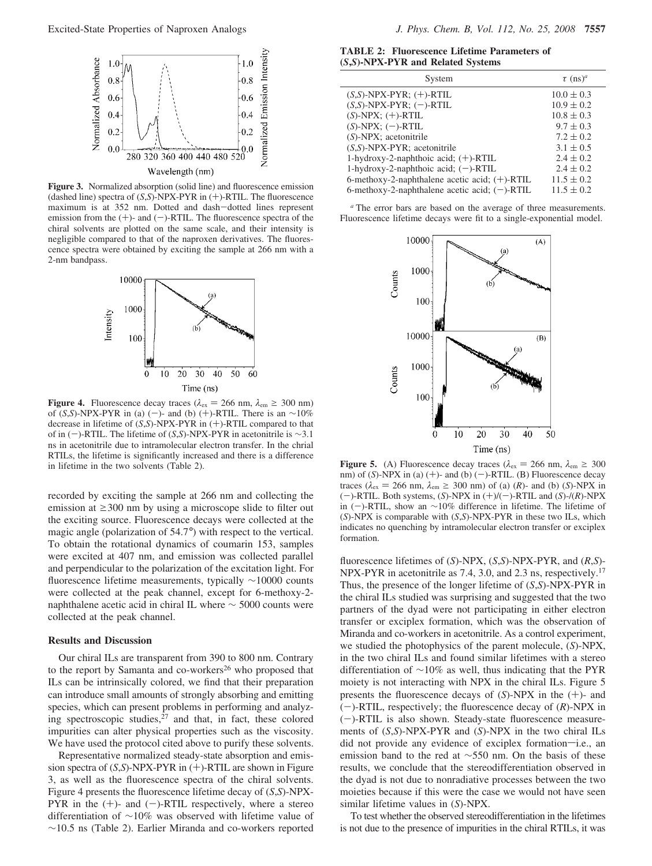

**Figure 3.** Normalized absorption (solid line) and fluorescence emission (dashed line) spectra of (*S*,*S*)-NPX-PYR in (+)-RTIL. The fluorescence maximum is at 352 nm. Dotted and dash-dotted lines represent emission from the  $(+)$ - and  $(-)$ -RTIL. The fluorescence spectra of the chiral solvents are plotted on the same scale, and their intensity is negligible compared to that of the naproxen derivatives. The fluorescence spectra were obtained by exciting the sample at 266 nm with a 2-nm bandpass.



**Figure 4.** Fluorescence decay traces ( $\lambda_{\text{ex}} = 266 \text{ nm}$ ,  $\lambda_{\text{em}} \ge 300 \text{ nm}$ ) of (*S*,*S*)-NPX-PYR in (a) (-)- and (b) (+)-RTIL. There is an  $\sim$ 10% decrease in lifetime of (*S*,*S*)-NPX-PYR in (+)-RTIL compared to that of in (-)-RTIL. The lifetime of (*S*,*S*)-NPX-PYR in acetonitrile is ∼3.1 ns in acetonitrile due to intramolecular electron transfer. In the chrial RTILs, the lifetime is significantly increased and there is a difference in lifetime in the two solvents (Table 2).

recorded by exciting the sample at 266 nm and collecting the emission at  $\geq$ 300 nm by using a microscope slide to filter out the exciting source. Fluorescence decays were collected at the magic angle (polarization of 54.7°) with respect to the vertical. To obtain the rotational dynamics of coumarin 153, samples were excited at 407 nm, and emission was collected parallel and perpendicular to the polarization of the excitation light. For fluorescence lifetime measurements, typically ∼10000 counts were collected at the peak channel, except for 6-methoxy-2 naphthalene acetic acid in chiral IL where ∼ 5000 counts were collected at the peak channel.

#### **Results and Discussion**

Our chiral ILs are transparent from 390 to 800 nm. Contrary to the report by Samanta and co-workers<sup>26</sup> who proposed that ILs can be intrinsically colored, we find that their preparation can introduce small amounts of strongly absorbing and emitting species, which can present problems in performing and analyzing spectroscopic studies, $27$  and that, in fact, these colored impurities can alter physical properties such as the viscosity. We have used the protocol cited above to purify these solvents.

Representative normalized steady-state absorption and emission spectra of (*S*,*S*)-NPX-PYR in (+)-RTIL are shown in Figure 3, as well as the fluorescence spectra of the chiral solvents. Figure 4 presents the fluorescence lifetime decay of (*S*,*S*)-NPX-PYR in the  $(+)$ - and  $(-)$ -RTIL respectively, where a stereo differentiation of ∼10% was observed with lifetime value of ∼10.5 ns (Table 2). Earlier Miranda and co-workers reported

**TABLE 2: Fluorescence Lifetime Parameters of (***S***,***S***)-NPX-PYR and Related Systems**

| System                                           | $\tau$ (ns) <sup>a</sup> |
|--------------------------------------------------|--------------------------|
| $(S, S)$ -NPX-PYR; $(+)$ -RTIL                   | $10.0 \pm 0.3$           |
| $(S, S)$ -NPX-PYR; $(-)$ -RTIL                   | $10.9 \pm 0.2$           |
| $(S)$ -NPX; $(+)$ -RTIL                          | $10.8 \pm 0.3$           |
| $(S)$ -NPX; $(-)$ -RTIL                          | $9.7 \pm 0.3$            |
| $(S)$ -NPX; acetonitrile                         | $7.2 \pm 0.2$            |
| $(S, S)$ -NPX-PYR; acetonitrile                  | $3.1 \pm 0.5$            |
| 1-hydroxy-2-naphthoic acid; $(+)$ -RTIL          | $2.4 \pm 0.2$            |
| 1-hydroxy-2-naphthoic acid; $(-)$ -RTIL          | $2.4 \pm 0.2$            |
| 6-methoxy-2-naphthalene acetic acid; $(+)$ -RTIL | $11.5 \pm 0.2$           |
| 6-methoxy-2-naphthalene acetic acid; $(-)$ -RTIL | $11.5 \pm 0.2$           |

*<sup>a</sup>* The error bars are based on the average of three measurements. Fluorescence lifetime decays were fit to a single-exponential model.



**Figure 5.** (A) Fluorescence decay traces ( $\lambda_{\text{ex}} = 266$  nm,  $\lambda_{\text{em}} \ge 300$ nm) of (*S*)-NPX in (a) (+)- and (b) (-)-RTIL. (B) Fluorescence decay traces ( $\lambda_{\text{ex}} = 266$  nm,  $\lambda_{\text{em}} \ge 300$  nm) of (a) (*R*)- and (b) (*S*)-NPX in (-)-RTIL. Both systems, (*S*)-NPX in (+)/(-)-RTIL and (*S*)-/(*R*)-NPX in (-)-RTIL, show an ∼10% difference in lifetime. The lifetime of (*S*)-NPX is comparable with (*S*,*S*)-NPX-PYR in these two ILs, which indicates no quenching by intramolecular electron transfer or exciplex formation.

fluorescence lifetimes of (*S*)-NPX, (*S*,*S*)-NPX-PYR, and (*R*,*S*)- NPX-PYR in acetonitrile as 7.4, 3.0, and 2.3 ns, respectively.<sup>17</sup> Thus, the presence of the longer lifetime of (*S*,*S*)-NPX-PYR in the chiral ILs studied was surprising and suggested that the two partners of the dyad were not participating in either electron transfer or exciplex formation, which was the observation of Miranda and co-workers in acetonitrile. As a control experiment, we studied the photophysics of the parent molecule, (*S*)-NPX, in the two chiral ILs and found similar lifetimes with a stereo differentiation of ∼10% as well, thus indicating that the PYR moiety is not interacting with NPX in the chiral ILs. Figure 5 presents the fluorescence decays of (*S*)-NPX in the (+)- and  $(-)$ -RTIL, respectively; the fluorescence decay of  $(R)$ -NPX in  $(-)$ -RTIL is also shown. Steady-state fluorescence measurements of (*S*,*S*)-NPX-PYR and (*S*)-NPX in the two chiral ILs did not provide any evidence of exciplex formation-i.e., an emission band to the red at ∼550 nm. On the basis of these results, we conclude that the stereodifferentiation observed in the dyad is not due to nonradiative processes between the two moieties because if this were the case we would not have seen similar lifetime values in (*S*)-NPX.

To test whether the observed stereodifferentiation in the lifetimes is not due to the presence of impurities in the chiral RTILs, it was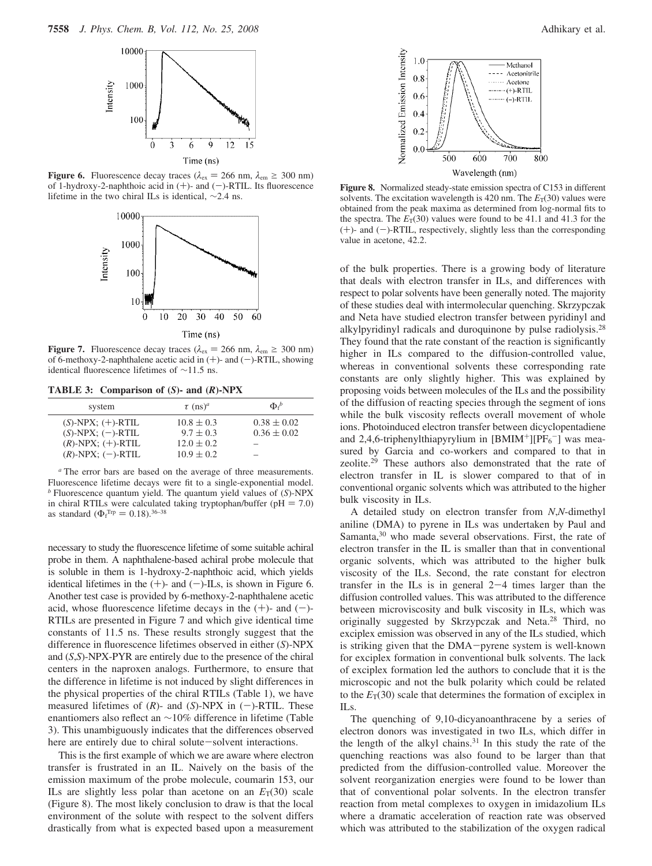

**Figure 6.** Fluorescence decay traces ( $\lambda_{\text{ex}} = 266 \text{ nm}, \lambda_{\text{em}} \ge 300 \text{ nm}$ ) of 1-hydroxy-2-naphthoic acid in  $(+)$ - and  $(-)$ -RTIL. Its fluorescence lifetime in the two chiral ILs is identical, ∼2.4 ns.



**Figure 7.** Fluorescence decay traces ( $\lambda_{\text{ex}} = 266 \text{ nm}$ ,  $\lambda_{\text{em}} \ge 300 \text{ nm}$ ) of 6-methoxy-2-naphthalene acetic acid in  $(+)$ - and  $(-)$ -RTIL, showing identical fluorescence lifetimes of ∼11.5 ns.

**TABLE 3: Comparison of (***S***)- and (***R***)-NPX**

| system                  | $\tau$ (ns) <sup>a</sup> | $\Phi_{i}^{b}$           |
|-------------------------|--------------------------|--------------------------|
| $(S)$ -NPX; $(+)$ -RTIL | $10.8 \pm 0.3$           | $0.38 \pm 0.02$          |
| $(S)$ -NPX; $(-)$ -RTIL | $9.7 + 0.3$              | $0.36 \pm 0.02$          |
| $(R)$ -NPX; $(+)$ -RTIL | $12.0 \pm 0.2$           | $\overline{\phantom{a}}$ |
| $(R)$ -NPX; $(-)$ -RTIL | $10.9 \pm 0.2$           | $\overline{\phantom{a}}$ |

*<sup>a</sup>* The error bars are based on the average of three measurements. Fluorescence lifetime decays were fit to a single-exponential model. *<sup>b</sup>* Fluorescence quantum yield. The quantum yield values of (*S*)-NPX in chiral RTILs were calculated taking tryptophan/buffer ( $pH = 7.0$ ) as standard ( $\Phi_f^{\text{Trp}} = 0.18$ ).<sup>36–38</sup>

necessary to study the fluorescence lifetime of some suitable achiral probe in them. A naphthalene-based achiral probe molecule that is soluble in them is 1-hydroxy-2-naphthoic acid, which yields identical lifetimes in the  $(+)$ - and  $(-)$ -ILs, is shown in Figure 6. Another test case is provided by 6-methoxy-2-naphthalene acetic acid, whose fluorescence lifetime decays in the  $(+)$ - and  $(-)$ -RTILs are presented in Figure 7 and which give identical time constants of 11.5 ns. These results strongly suggest that the difference in fluorescence lifetimes observed in either (*S*)-NPX and (*S*,*S*)-NPX-PYR are entirely due to the presence of the chiral centers in the naproxen analogs. Furthermore, to ensure that the difference in lifetime is not induced by slight differences in the physical properties of the chiral RTILs (Table 1), we have measured lifetimes of  $(R)$ - and  $(S)$ -NPX in  $(-)$ -RTIL. These enantiomers also reflect an ∼10% difference in lifetime (Table 3). This unambiguously indicates that the differences observed here are entirely due to chiral solute-solvent interactions.

This is the first example of which we are aware where electron transfer is frustrated in an IL. Naively on the basis of the emission maximum of the probe molecule, coumarin 153, our ILs are slightly less polar than acetone on an  $E_T(30)$  scale (Figure 8). The most likely conclusion to draw is that the local environment of the solute with respect to the solvent differs drastically from what is expected based upon a measurement



**Figure 8.** Normalized steady-state emission spectra of C153 in different solvents. The excitation wavelength is 420 nm. The  $E_T(30)$  values were obtained from the peak maxima as determined from log-normal fits to the spectra. The  $E_T(30)$  values were found to be 41.1 and 41.3 for the  $(+)$ - and  $(-)$ -RTIL, respectively, slightly less than the corresponding value in acetone, 42.2.

of the bulk properties. There is a growing body of literature that deals with electron transfer in ILs, and differences with respect to polar solvents have been generally noted. The majority of these studies deal with intermolecular quenching. Skrzypczak and Neta have studied electron transfer between pyridinyl and alkylpyridinyl radicals and duroquinone by pulse radiolysis.<sup>28</sup> They found that the rate constant of the reaction is significantly higher in ILs compared to the diffusion-controlled value, whereas in conventional solvents these corresponding rate constants are only slightly higher. This was explained by proposing voids between molecules of the ILs and the possibility of the diffusion of reacting species through the segment of ions while the bulk viscosity reflects overall movement of whole ions. Photoinduced electron transfer between dicyclopentadiene and 2,4,6-triphenylthiapyrylium in  $[BMIM^+] [PF_6^-]$  was measured by Garcia and co-workers and compared to that in zeolite.<sup>29</sup> These authors also demonstrated that the rate of electron transfer in IL is slower compared to that of in conventional organic solvents which was attributed to the higher bulk viscosity in ILs.

A detailed study on electron transfer from *N*,*N*-dimethyl aniline (DMA) to pyrene in ILs was undertaken by Paul and Samanta,<sup>30</sup> who made several observations. First, the rate of electron transfer in the IL is smaller than that in conventional organic solvents, which was attributed to the higher bulk viscosity of the ILs. Second, the rate constant for electron transfer in the ILs is in general  $2-4$  times larger than the diffusion controlled values. This was attributed to the difference between microviscosity and bulk viscosity in ILs, which was originally suggested by Skrzypczak and Neta.<sup>28</sup> Third, no exciplex emission was observed in any of the ILs studied, which is striking given that the DMA-pyrene system is well-known for exciplex formation in conventional bulk solvents. The lack of exciplex formation led the authors to conclude that it is the microscopic and not the bulk polarity which could be related to the  $E_T(30)$  scale that determines the formation of exciplex in ILs.

The quenching of 9,10-dicyanoanthracene by a series of electron donors was investigated in two ILs, which differ in the length of the alkyl chains.<sup>31</sup> In this study the rate of the quenching reactions was also found to be larger than that predicted from the diffusion-controlled value. Moreover the solvent reorganization energies were found to be lower than that of conventional polar solvents. In the electron transfer reaction from metal complexes to oxygen in imidazolium ILs where a dramatic acceleration of reaction rate was observed which was attributed to the stabilization of the oxygen radical